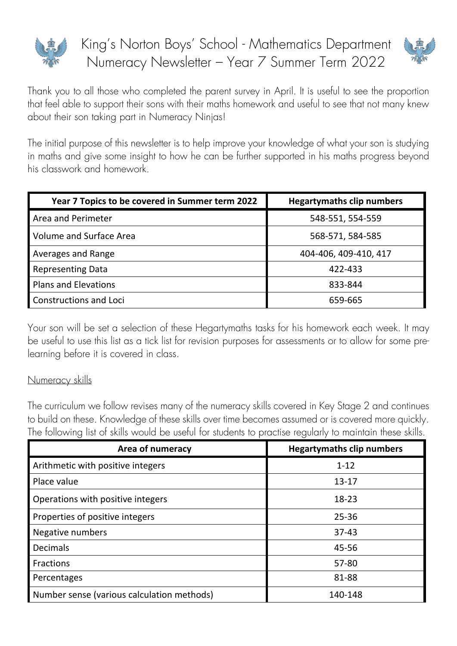

King's Norton Boys' School - Mathematics Department Numeracy Newsletter – Year 7 Summer Term 2022



Thank you to all those who completed the parent survey in April. It is useful to see the proportion that feel able to support their sons with their maths homework and useful to see that not many knew about their son taking part in Numeracy Ninjas!

The initial purpose of this newsletter is to help improve your knowledge of what your son is studying in maths and give some insight to how he can be further supported in his maths progress beyond his classwork and homework.

| Year 7 Topics to be covered in Summer term 2022 | <b>Hegartymaths clip numbers</b> |
|-------------------------------------------------|----------------------------------|
| <b>Area and Perimeter</b>                       | 548-551, 554-559                 |
| Volume and Surface Area                         | 568-571, 584-585                 |
| <b>Averages and Range</b>                       | 404-406, 409-410, 417            |
| <b>Representing Data</b>                        | 422-433                          |
| <b>Plans and Elevations</b>                     | 833-844                          |
| Constructions and Loci                          | 659-665                          |

Your son will be set a selection of these Hegartymaths tasks for his homework each week. It may be useful to use this list as a tick list for revision purposes for assessments or to allow for some prelearning before it is covered in class.

## Numeracy skills

The curriculum we follow revises many of the numeracy skills covered in Key Stage 2 and continues to build on these. Knowledge of these skills over time becomes assumed or is covered more quickly. The following list of skills would be useful for students to practise regularly to maintain these skills.

| <b>Area of numeracy</b>                    | <b>Hegartymaths clip numbers</b> |
|--------------------------------------------|----------------------------------|
| Arithmetic with positive integers          | $1 - 12$                         |
| Place value                                | 13-17                            |
| Operations with positive integers          | $18 - 23$                        |
| Properties of positive integers            | $25 - 36$                        |
| Negative numbers                           | $37 - 43$                        |
| <b>Decimals</b>                            | 45-56                            |
| <b>Fractions</b>                           | 57-80                            |
| Percentages                                | 81-88                            |
| Number sense (various calculation methods) | 140-148                          |